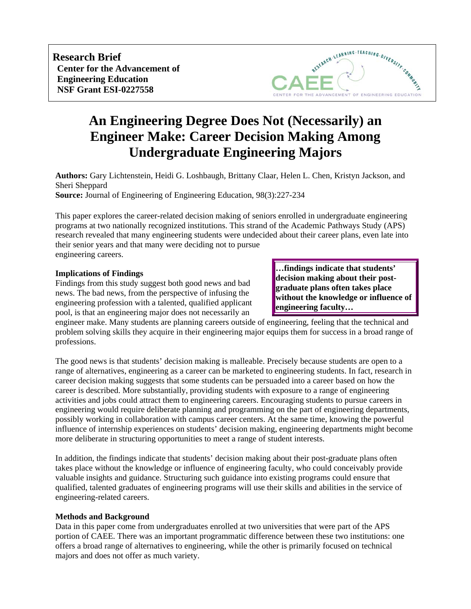

## **An Engineering Degree Does Not (Necessarily) an Engineer Make: Career Decision Making Among Undergraduate Engineering Majors**

**Authors:** Gary Lichtenstein, Heidi G. Loshbaugh, Brittany Claar, Helen L. Chen, Kristyn Jackson, and Sheri Sheppard

**Source:** Journal of Engineering of Engineering Education, 98(3):227-234

This paper explores the career-related decision making of seniors enrolled in undergraduate engineering programs at two nationally recognized institutions. This strand of the Academic Pathways Study (APS) research revealed that many engineering students were undecided about their career plans, even late into their senior years and that many were deciding not to pursue engineering careers.

## **Implications of Findings**

Findings from this study suggest both good news and bad news. The bad news, from the perspective of infusing the engineering profession with a talented, qualified applicant pool, is that an engineering major does not necessarily an

**…findings indicate that students' decision making about their postgraduate plans often takes place without the knowledge or influence of engineering faculty…**

engineer make. Many students are planning careers outside of engineering, feeling that the technical and problem solving skills they acquire in their engineering major equips them for success in a broad range of professions.

The good news is that students' decision making is malleable. Precisely because students are open to a range of alternatives, engineering as a career can be marketed to engineering students. In fact, research in career decision making suggests that some students can be persuaded into a career based on how the career is described. More substantially, providing students with exposure to a range of engineering activities and jobs could attract them to engineering careers. Encouraging students to pursue careers in engineering would require deliberate planning and programming on the part of engineering departments, possibly working in collaboration with campus career centers. At the same time, knowing the powerful influence of internship experiences on students' decision making, engineering departments might become more deliberate in structuring opportunities to meet a range of student interests.

In addition, the findings indicate that students' decision making about their post-graduate plans often takes place without the knowledge or influence of engineering faculty, who could conceivably provide valuable insights and guidance. Structuring such guidance into existing programs could ensure that qualified, talented graduates of engineering programs will use their skills and abilities in the service of engineering-related careers.

## **Methods and Background**

Data in this paper come from undergraduates enrolled at two universities that were part of the APS portion of CAEE. There was an important programmatic difference between these two institutions: one offers a broad range of alternatives to engineering, while the other is primarily focused on technical majors and does not offer as much variety.